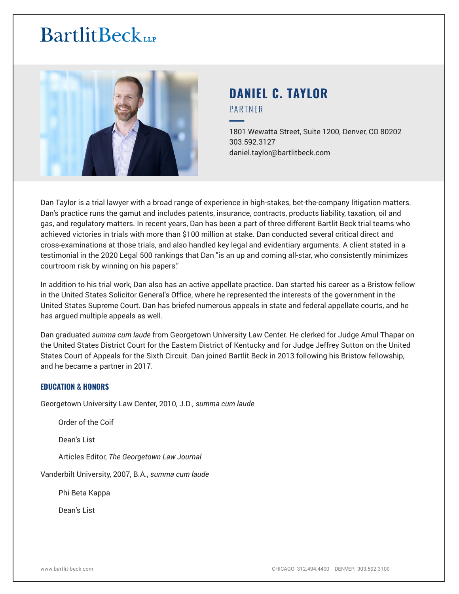

# **DANIEL C. TAYLOR** PARTNER

━1801 Wewatta Street, Suite 1200, Denver, CO 80202 303.592.3127 daniel.taylor@bartlitbeck.com

Dan Taylor is a trial lawyer with a broad range of experience in high-stakes, bet-the-company litigation matters. Dan's practice runs the gamut and includes patents, insurance, contracts, products liability, taxation, oil and gas, and regulatory matters. In recent years, Dan has been a part of three different Bartlit Beck trial teams who achieved victories in trials with more than \$100 million at stake. Dan conducted several critical direct and cross-examinations at those trials, and also handled key legal and evidentiary arguments. A client stated in a testimonial in the 2020 Legal 500 rankings that Dan "is an up and coming all-star, who consistently minimizes courtroom risk by winning on his papers."

In addition to his trial work, Dan also has an active appellate practice. Dan started his career as a Bristow fellow in the United States Solicitor General's Office, where he represented the interests of the government in the United States Supreme Court. Dan has briefed numerous appeals in state and federal appellate courts, and he has argued multiple appeals as well.

Dan graduated *summa cum laude* from Georgetown University Law Center. He clerked for Judge Amul Thapar on the United States District Court for the Eastern District of Kentucky and for Judge Jeffrey Sutton on the United States Court of Appeals for the Sixth Circuit. Dan joined Bartlit Beck in 2013 following his Bristow fellowship, and he became a partner in 2017.

#### **EDUCATION & HONORS**

Georgetown University Law Center, 2010, J.D*., summa cum laude*

Order of the Coif

Dean's List

Articles Editor, *The Georgetown Law Journal*

Vanderbilt University, 2007, B.A., *summa cum laude*

Phi Beta Kappa

Dean's List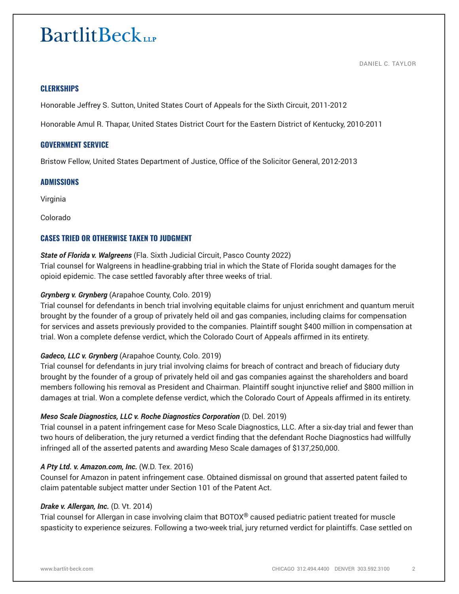DANIEL C. TAYLOR

### **CLERKSHIPS**

Honorable Jeffrey S. Sutton, United States Court of Appeals for the Sixth Circuit, 2011-2012

Honorable Amul R. Thapar, United States District Court for the Eastern District of Kentucky, 2010-2011

### **GOVERNMENT SERVICE**

Bristow Fellow, United States Department of Justice, Office of the Solicitor General, 2012-2013

#### **ADMISSIONS**

Virginia

Colorado

# **CASES TRIED OR OTHERWISE TAKEN TO JUDGMENT**

### *State of Florida v. Walgreens* (Fla. Sixth Judicial Circuit, Pasco County 2022)

Trial counsel for Walgreens in headline-grabbing trial in which the State of Florida sought damages for the opioid epidemic. The case settled favorably after three weeks of trial.

### *Grynberg v. Grynberg* (Arapahoe County, Colo. 2019)

Trial counsel for defendants in bench trial involving equitable claims for unjust enrichment and quantum meruit brought by the founder of a group of privately held oil and gas companies, including claims for compensation for services and assets previously provided to the companies. Plaintiff sought \$400 million in compensation at trial. Won a complete defense verdict, which the Colorado Court of Appeals affirmed in its entirety.

#### *Gadeco, LLC v. Grynberg* (Arapahoe County, Colo. 2019)

Trial counsel for defendants in jury trial involving claims for breach of contract and breach of fiduciary duty brought by the founder of a group of privately held oil and gas companies against the shareholders and board members following his removal as President and Chairman. Plaintiff sought injunctive relief and \$800 million in damages at trial. Won a complete defense verdict, which the Colorado Court of Appeals affirmed in its entirety.

#### *Meso Scale Diagnostics, LLC v. Roche Diagnostics Corporation* (D. Del. 2019)

Trial counsel in a patent infringement case for Meso Scale Diagnostics, LLC. After a six-day trial and fewer than two hours of deliberation, the jury returned a verdict finding that the defendant Roche Diagnostics had willfully infringed all of the asserted patents and awarding Meso Scale damages of \$137,250,000.

#### *A Pty Ltd. v. Amazon.com, Inc.* (W.D. Tex. 2016)

Counsel for Amazon in patent infringement case. Obtained dismissal on ground that asserted patent failed to claim patentable subject matter under Section 101 of the Patent Act.

#### *Drake v. Allergan, Inc.* (D. Vt. 2014)

Trial counsel for Allergan in case involving claim that BOTOX® caused pediatric patient treated for muscle spasticity to experience seizures. Following a two-week trial, jury returned verdict for plaintiffs. Case settled on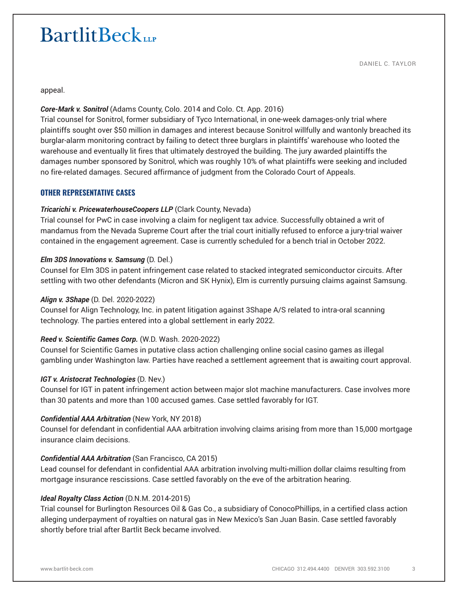appeal.

## *Core-Mark v. Sonitrol* (Adams County, Colo. 2014 and Colo. Ct. App. 2016)

Trial counsel for Sonitrol, former subsidiary of Tyco International, in one-week damages-only trial where plaintiffs sought over \$50 million in damages and interest because Sonitrol willfully and wantonly breached its burglar-alarm monitoring contract by failing to detect three burglars in plaintiffs' warehouse who looted the warehouse and eventually lit fires that ultimately destroyed the building. The jury awarded plaintiffs the damages number sponsored by Sonitrol, which was roughly 10% of what plaintiffs were seeking and included no fire-related damages. Secured affirmance of judgment from the Colorado Court of Appeals.

### **OTHER REPRESENTATIVE CASES**

### *Tricarichi v. PricewaterhouseCoopers LLP* (Clark County, Nevada)

Trial counsel for PwC in case involving a claim for negligent tax advice. Successfully obtained a writ of mandamus from the Nevada Supreme Court after the trial court initially refused to enforce a jury-trial waiver contained in the engagement agreement. Case is currently scheduled for a bench trial in October 2022.

#### *Elm 3DS Innovations v. Samsung* (D. Del.)

Counsel for Elm 3DS in patent infringement case related to stacked integrated semiconductor circuits. After settling with two other defendants (Micron and SK Hynix), Elm is currently pursuing claims against Samsung.

#### *Align v. 3Shape* (D. Del. 2020-2022)

Counsel for Align Technology, Inc. in patent litigation against 3Shape A/S related to intra-oral scanning technology. The parties entered into a global settlement in early 2022.

#### *Reed v. Scientific Games Corp.* (W.D. Wash. 2020-2022)

Counsel for Scientific Games in putative class action challenging online social casino games as illegal gambling under Washington law. Parties have reached a settlement agreement that is awaiting court approval.

#### *IGT v. Aristocrat Technologies* (D. Nev.)

Counsel for IGT in patent infringement action between major slot machine manufacturers. Case involves more than 30 patents and more than 100 accused games. Case settled favorably for IGT.

#### *Confidential AAA Arbitration* (New York, NY 2018)

Counsel for defendant in confidential AAA arbitration involving claims arising from more than 15,000 mortgage insurance claim decisions.

#### *Confidential AAA Arbitration* (San Francisco, CA 2015)

Lead counsel for defendant in confidential AAA arbitration involving multi-million dollar claims resulting from mortgage insurance rescissions. Case settled favorably on the eve of the arbitration hearing.

#### *Ideal Royalty Class Action* (D.N.M. 2014-2015)

Trial counsel for Burlington Resources Oil & Gas Co., a subsidiary of ConocoPhillips, in a certified class action alleging underpayment of royalties on natural gas in New Mexico's San Juan Basin. Case settled favorably shortly before trial after Bartlit Beck became involved.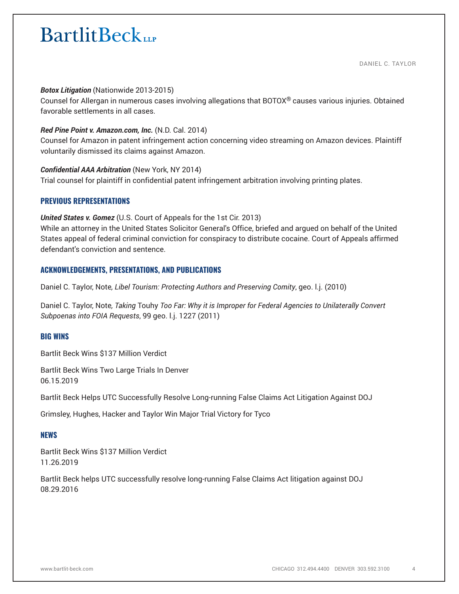#### *Botox Litigation* (Nationwide 2013-2015)

Counsel for Allergan in numerous cases involving allegations that  $BOTOX^@$  causes various injuries. Obtained favorable settlements in all cases.

#### *Red Pine Point v. Amazon.com, Inc.* (N.D. Cal. 2014)

Counsel for Amazon in patent infringement action concerning video streaming on Amazon devices. Plaintiff voluntarily dismissed its claims against Amazon.

#### *Confidential AAA Arbitration* (New York, NY 2014)

Trial counsel for plaintiff in confidential patent infringement arbitration involving printing plates.

#### **PREVIOUS REPRESENTATIONS**

*United States v. Gomez* (U.S. Court of Appeals for the 1st Cir. 2013)

While an attorney in the United States Solicitor General's Office, briefed and argued on behalf of the United States appeal of federal criminal conviction for conspiracy to distribute cocaine. Court of Appeals affirmed defendant's conviction and sentence.

#### **ACKNOWLEDGEMENTS, PRESENTATIONS, AND PUBLICATIONS**

Daniel C. Taylor, Note*, Libel Tourism: Protecting Authors and Preserving Comity*, geo. l.j. (2010)

Daniel C. Taylor, Note*, Taking* Touhy *Too Far: Why it is Improper for Federal Agencies to Unilaterally Convert Subpoenas into FOIA Requests*, 99 geo. l.j. 1227 (2011)

#### **BIG WINS**

Bartlit Beck Wins \$137 Million Verdict

Bartlit Beck Wins Two Large Trials In Denver 06.15.2019

Bartlit Beck Helps UTC Successfully Resolve Long-running False Claims Act Litigation Against DOJ

Grimsley, Hughes, Hacker and Taylor Win Major Trial Victory for Tyco

#### **NEWS**

Bartlit Beck Wins \$137 Million Verdict 11.26.2019

Bartlit Beck helps UTC successfully resolve long-running False Claims Act litigation against DOJ 08.29.2016